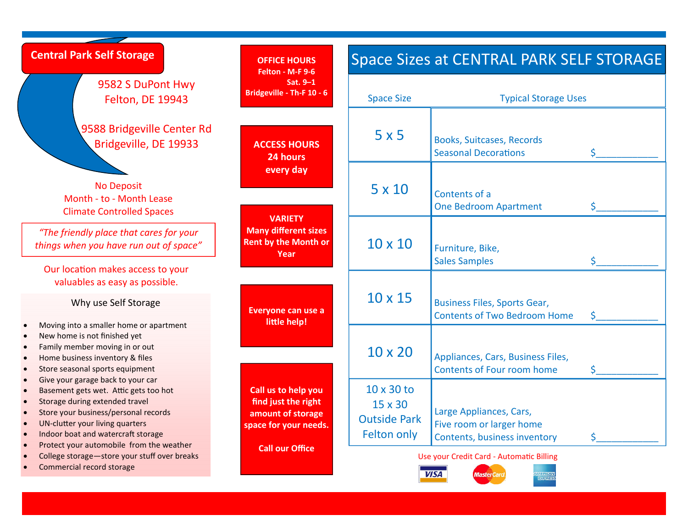| <b>Central Park Self Storage</b>                                                                                                                                                                                              | <b>OFFICE HOURS</b><br>Felton - M-F 9-6                                                  |                                                                           | <b>Space Sizes at CENTRAL PARK SELF STORAGE</b>                                     |    |
|-------------------------------------------------------------------------------------------------------------------------------------------------------------------------------------------------------------------------------|------------------------------------------------------------------------------------------|---------------------------------------------------------------------------|-------------------------------------------------------------------------------------|----|
| 9582 S DuPont Hwy<br><b>Felton, DE 19943</b>                                                                                                                                                                                  | Sat. 9-1<br>Bridgeville - Th-F 10 - 6                                                    | <b>Space Size</b>                                                         | <b>Typical Storage Uses</b>                                                         |    |
| 9588 Bridgeville Center Rd<br>Bridgeville, DE 19933                                                                                                                                                                           | <b>ACCESS HOURS</b><br>24 hours                                                          | 5x5                                                                       | <b>Books, Suitcases, Records</b><br><b>Seasonal Decorations</b>                     | Ś. |
| <b>No Deposit</b><br>Month - to - Month Lease<br><b>Climate Controlled Spaces</b>                                                                                                                                             | every day<br><b>VARIETY</b>                                                              | $5 \times 10$                                                             | Contents of a<br><b>One Bedroom Apartment</b>                                       | Ś. |
| "The friendly place that cares for your<br>things when you have run out of space"<br>Our location makes access to your                                                                                                        | <b>Many different sizes</b><br><b>Rent by the Month or</b><br>Year                       | $10 \times 10$                                                            | Furniture, Bike,<br><b>Sales Samples</b>                                            |    |
| valuables as easy as possible.<br>Why use Self Storage                                                                                                                                                                        | Everyone can use a<br>little help!                                                       | $10 \times 15$                                                            | <b>Business Files, Sports Gear,</b><br><b>Contents of Two Bedroom Home</b>          | Ś  |
| Moving into a smaller home or apartment<br>New home is not finished yet<br>Family member moving in or out<br>Home business inventory & files<br>Store seasonal sports equipment                                               |                                                                                          | $10 \times 20$                                                            | Appliances, Cars, Business Files,<br>Contents of Four room home                     | Ś. |
| Give your garage back to your car<br>Basement gets wet. Attic gets too hot<br>Storage during extended travel<br>Store your business/personal records<br>UN-clutter your living quarters<br>Indoor boat and watercraft storage | Call us to help you<br>find just the right<br>amount of storage<br>space for your needs. | $10 \times 30$ to<br>$15 \times 30$<br><b>Outside Park</b><br>Felton only | Large Appliances, Cars,<br>Five room or larger home<br>Contents, business inventory |    |
| Protect your automobile from the weather<br>College storage-store your stuff over breaks<br>Commercial record storage                                                                                                         | <b>Call our Office</b>                                                                   | Use your Credit Card - Automatic Billing<br><b>VISA</b>                   |                                                                                     |    |